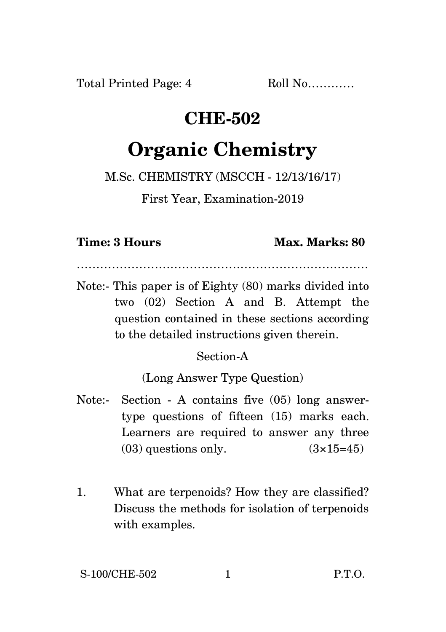Total Printed Page: 4 Roll No...........

## **CHE-502**

# **Organic Chemistry**

M.Sc. CHEMISTRY (MSCCH - 12/13/16/17)

First Year, Examination-2019

#### **Time: 3 Hours Max. Marks: 80**

…………………………………………………………………

Note:- This paper is of Eighty (80) marks divided into two (02) Section A and B. Attempt the question contained in these sections according to the detailed instructions given therein.

### Section-A

(Long Answer Type Question)

- Note:- Section A contains five (05) long answertype questions of fifteen (15) marks each. Learners are required to answer any three  $(03)$  questions only.  $(3\times15=45)$
- 1. What are terpenoids? How they are classified? Discuss the methods for isolation of terpenoids with examples.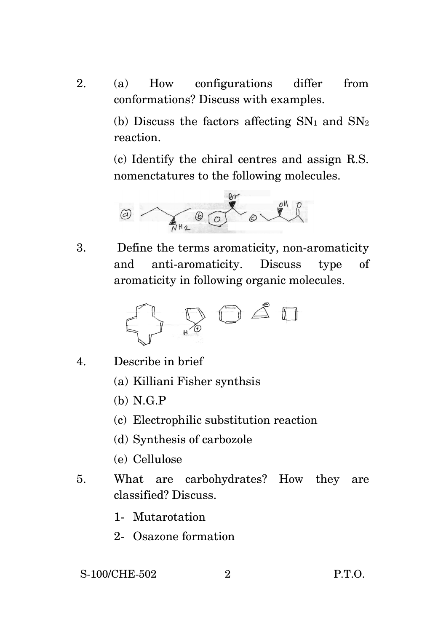2. (a) How configurations differ from conformations? Discuss with examples.

> (b) Discuss the factors affecting  $SN_1$  and  $SN_2$ reaction.

> (c) Identify the chiral centres and assign R.S. nomenctatures to the following molecules.



3. Define the terms aromaticity, non-aromaticity and anti-aromaticity. Discuss type of aromaticity in following organic molecules.



- 4. Describe in brief
	- (a) Killiani Fisher synthsis
	- (b) N.G.P
	- (c) Electrophilic substitution reaction
	- (d) Synthesis of carbozole
	- (e) Cellulose
- 5. What are carbohydrates? How they are classified? Discuss.
	- 1- Mutarotation
	- 2- Osazone formation

#### S-100/CHE-502 2 P.T.O.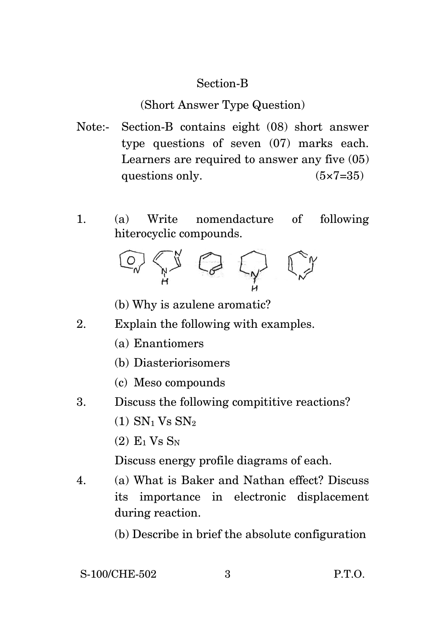#### Section-B

(Short Answer Type Question)

- Note:- Section-B contains eight (08) short answer type questions of seven (07) marks each. Learners are required to answer any five (05) questions only.  $(5 \times 7 = 35)$
- 1. (a) Write nomendacture of following hiterocyclic compounds.



- (b) Why is azulene aromatic?
- 2. Explain the following with examples.
	- (a) Enantiomers
	- (b) Diasteriorisomers
	- (c) Meso compounds
- 3. Discuss the following compititive reactions?
	- $(1)$  SN<sub>1</sub> V<sub>s</sub> SN<sub>2</sub>
	- $(2)$  E<sub>1</sub> V<sub>s</sub> S<sub>N</sub>

Discuss energy profile diagrams of each.

- 4. (a) What is Baker and Nathan effect? Discuss its importance in electronic displacement during reaction.
	- (b) Describe in brief the absolute configuration